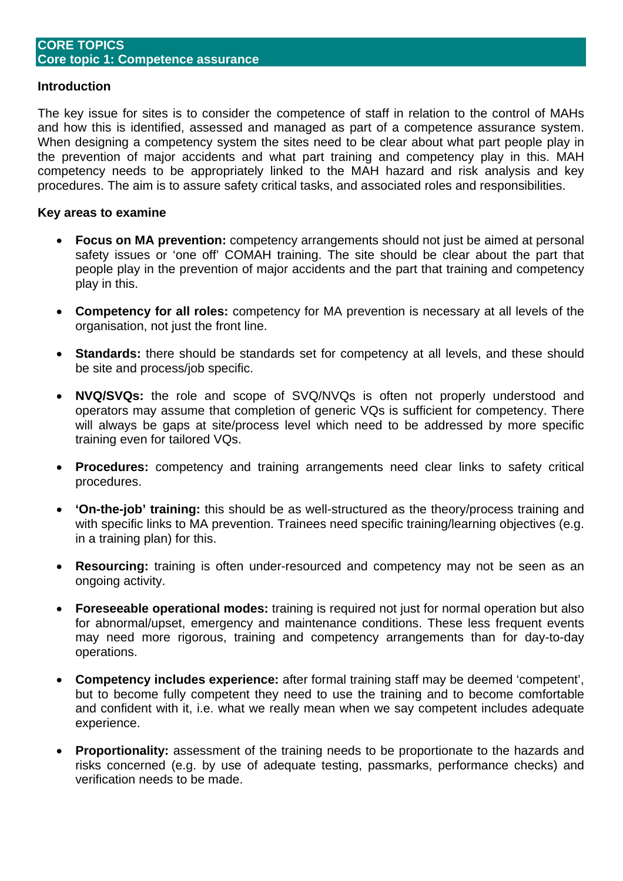#### **Introduction**

The key issue for sites is to consider the competence of staff in relation to the control of MAHs and how this is identified, assessed and managed as part of a competence assurance system. When designing a competency system the sites need to be clear about what part people play in the prevention of major accidents and what part training and competency play in this. MAH competency needs to be appropriately linked to the MAH hazard and risk analysis and key procedures. The aim is to assure safety critical tasks, and associated roles and responsibilities.

#### **Key areas to examine**

- **Focus on MA prevention:** competency arrangements should not just be aimed at personal safety issues or 'one off' COMAH training. The site should be clear about the part that people play in the prevention of major accidents and the part that training and competency play in this.
- **Competency for all roles:** competency for MA prevention is necessary at all levels of the organisation, not just the front line.
- **Standards:** there should be standards set for competency at all levels, and these should be site and process/job specific.
- **NVQ/SVQs:** the role and scope of SVQ/NVQs is often not properly understood and operators may assume that completion of generic VQs is sufficient for competency. There will always be gaps at site/process level which need to be addressed by more specific training even for tailored VQs.
- **Procedures:** competency and training arrangements need clear links to safety critical procedures.
- **'On-the-job' training:** this should be as well-structured as the theory/process training and with specific links to MA prevention. Trainees need specific training/learning objectives (e.g. in a training plan) for this.
- **Resourcing:** training is often under-resourced and competency may not be seen as an ongoing activity.
- **Foreseeable operational modes:** training is required not just for normal operation but also for abnormal/upset, emergency and maintenance conditions. These less frequent events may need more rigorous, training and competency arrangements than for day-to-day operations.
- **Competency includes experience:** after formal training staff may be deemed 'competent', but to become fully competent they need to use the training and to become comfortable and confident with it, i.e. what we really mean when we say competent includes adequate experience.
- **Proportionality:** assessment of the training needs to be proportionate to the hazards and risks concerned (e.g. by use of adequate testing, passmarks, performance checks) and verification needs to be made.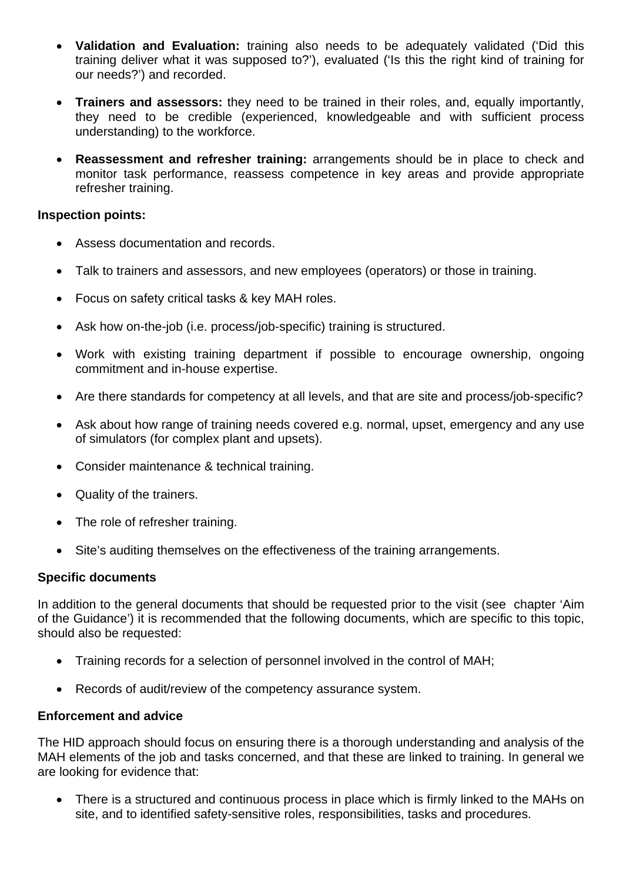- **Validation and Evaluation:** training also needs to be adequately validated ('Did this training deliver what it was supposed to?'), evaluated ('Is this the right kind of training for our needs?') and recorded.
- **Trainers and assessors:** they need to be trained in their roles, and, equally importantly, they need to be credible (experienced, knowledgeable and with sufficient process understanding) to the workforce.
- **Reassessment and refresher training:** arrangements should be in place to check and monitor task performance, reassess competence in key areas and provide appropriate refresher training.

#### **Inspection points:**

- Assess documentation and records.
- Talk to trainers and assessors, and new employees (operators) or those in training.
- Focus on safety critical tasks & key MAH roles.
- Ask how on-the-job (i.e. process/job-specific) training is structured.
- Work with existing training department if possible to encourage ownership, ongoing commitment and in-house expertise.
- Are there standards for competency at all levels, and that are site and process/job-specific?
- Ask about how range of training needs covered e.g. normal, upset, emergency and any use of simulators (for complex plant and upsets).
- Consider maintenance & technical training.
- Quality of the trainers.
- The role of refresher training.
- Site's auditing themselves on the effectiveness of the training arrangements.

## **Specific documents**

In addition to the general documents that should be requested prior to the visit (see chapter 'Aim of the Guidance') it is recommended that the following documents, which are specific to this topic, should also be requested:

- Training records for a selection of personnel involved in the control of MAH;
- Records of audit/review of the competency assurance system.

## **Enforcement and advice**

The HID approach should focus on ensuring there is a thorough understanding and analysis of the MAH elements of the job and tasks concerned, and that these are linked to training. In general we are looking for evidence that:

• There is a structured and continuous process in place which is firmly linked to the MAHs on site, and to identified safety-sensitive roles, responsibilities, tasks and procedures.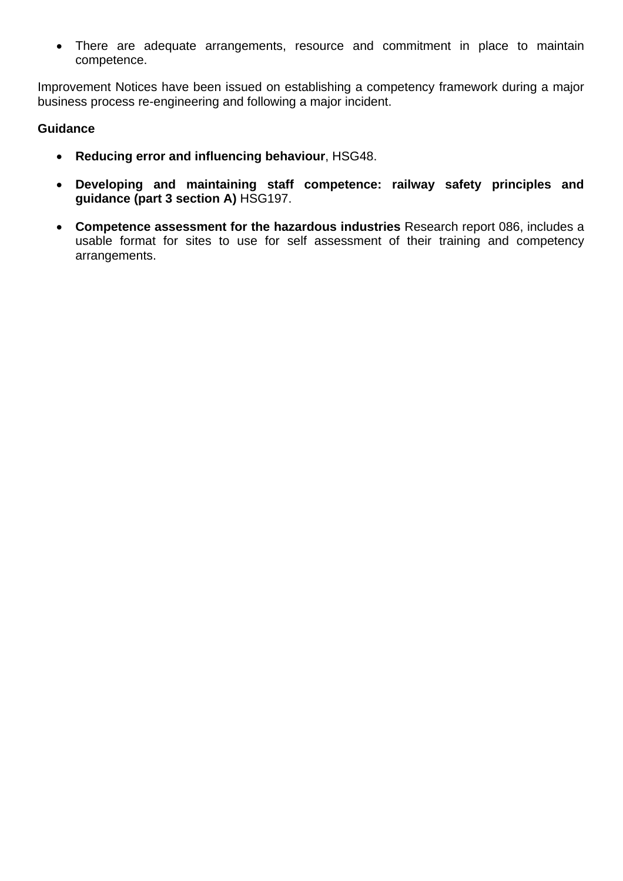• There are adequate arrangements, resource and commitment in place to maintain competence.

Improvement Notices have been issued on establishing a competency framework during a major business process re-engineering and following a major incident.

## **Guidance**

- **Reducing error and influencing behaviour**, HSG48.
- **Developing and maintaining staff competence: railway safety principles and guidance (part 3 section A)** HSG197.
- **Competence assessment for the hazardous industries** Research report 086, includes a usable format for sites to use for self assessment of their training and competency arrangements.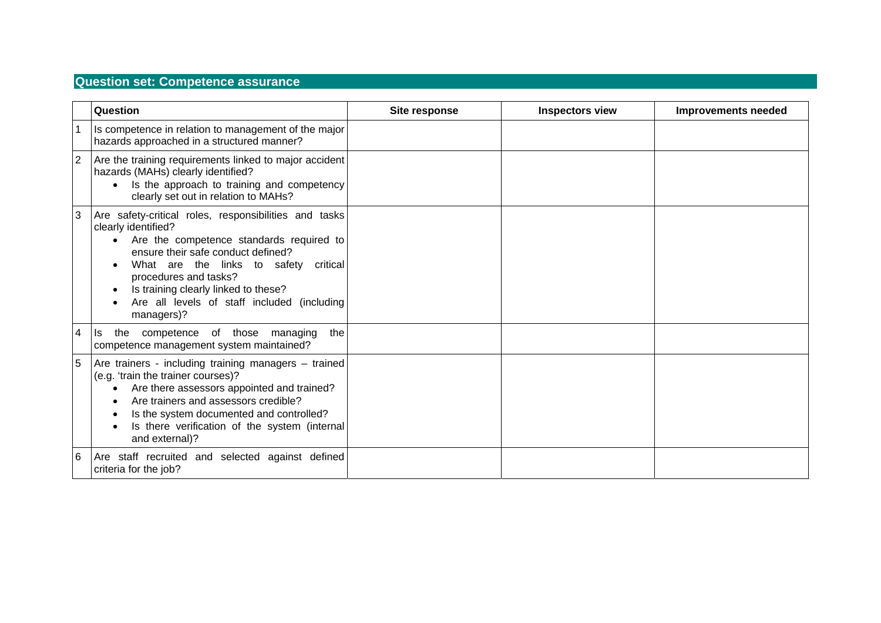# **Question set: Competence assurance**

|   | Question                                                                                                                                                                                                                                                                                                                                              | Site response | <b>Inspectors view</b> | <b>Improvements needed</b> |
|---|-------------------------------------------------------------------------------------------------------------------------------------------------------------------------------------------------------------------------------------------------------------------------------------------------------------------------------------------------------|---------------|------------------------|----------------------------|
|   | Is competence in relation to management of the major<br>hazards approached in a structured manner?                                                                                                                                                                                                                                                    |               |                        |                            |
|   | Are the training requirements linked to major accident<br>hazards (MAHs) clearly identified?<br>Is the approach to training and competency<br>clearly set out in relation to MAHs?                                                                                                                                                                    |               |                        |                            |
| 3 | Are safety-critical roles, responsibilities and tasks<br>clearly identified?<br>Are the competence standards required to<br>$\bullet$<br>ensure their safe conduct defined?<br>What are the links to safety<br>critical<br>procedures and tasks?<br>Is training clearly linked to these?<br>Are all levels of staff included (including<br>managers)? |               |                        |                            |
| 4 | the competence of those managing<br>the<br>ls.<br>competence management system maintained?                                                                                                                                                                                                                                                            |               |                        |                            |
| 5 | Are trainers - including training managers - trained<br>(e.g. 'train the trainer courses)?<br>Are there assessors appointed and trained?<br>Are trainers and assessors credible?<br>Is the system documented and controlled?<br>Is there verification of the system (internal<br>and external)?                                                       |               |                        |                            |
| 6 | Are staff recruited and selected against defined<br>criteria for the job?                                                                                                                                                                                                                                                                             |               |                        |                            |